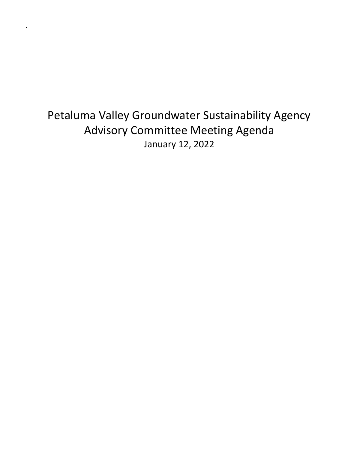Petaluma Valley Groundwater Sustainability Agency Advisory Committee Meeting Agenda January 12, 2022

.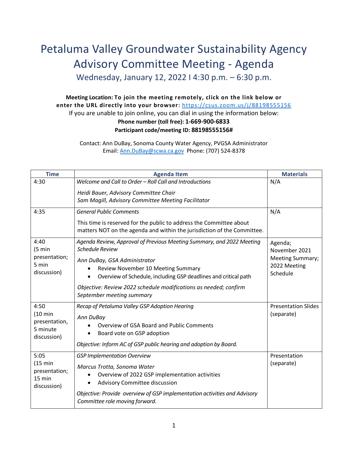## Petaluma Valley Groundwater Sustainability Agency Advisory Committee Meeting - Agenda Wednesday, January 12, 2022 I 4:30 p.m. – 6:30 p.m.

## **Meeting Location: To join the meeting remotely, click on the link below or enter the URL directly into your browser:** <https://csus.zoom.us/j/88198555156> If you are unable to join online, you can dial in using the information below: **Phone number (toll free): 1-669-900-6833 Participant code/meeting ID: 88198555156#**

Contact: Ann DuBay, Sonoma County Water Agency, PVGSA Administrator Email: [Ann.DuBay@scwa.ca.gov](mailto:Ann.DuBay@scwa.ca.gov) Phone: (707) 524-8378

| <b>Time</b>                                                            | <b>Agenda Item</b>                                                                                                                             | <b>Materials</b>                        |
|------------------------------------------------------------------------|------------------------------------------------------------------------------------------------------------------------------------------------|-----------------------------------------|
| 4:30                                                                   | Welcome and Call to Order - Roll Call and Introductions                                                                                        | N/A                                     |
|                                                                        | Heidi Bauer, Advisory Committee Chair                                                                                                          |                                         |
|                                                                        | Sam Magill, Advisory Committee Meeting Facilitator                                                                                             |                                         |
| 4:35                                                                   | <b>General Public Comments</b>                                                                                                                 | N/A                                     |
|                                                                        | This time is reserved for the public to address the Committee about<br>matters NOT on the agenda and within the jurisdiction of the Committee. |                                         |
| 4:40<br>$(5 \text{ min})$<br>presentation;<br>5 min<br>discussion)     | Agenda Review, Approval of Previous Meeting Summary, and 2022 Meeting                                                                          | Agenda;                                 |
|                                                                        | <b>Schedule Review</b>                                                                                                                         | November 2021                           |
|                                                                        | Ann DuBay, GSA Administrator                                                                                                                   | <b>Meeting Summary;</b><br>2022 Meeting |
|                                                                        | Review November 10 Meeting Summary<br>Overview of Schedule, including GSP deadlines and critical path                                          | Schedule                                |
|                                                                        |                                                                                                                                                |                                         |
|                                                                        | Objective: Review 2022 schedule modifications as needed; confirm<br>September meeting summary                                                  |                                         |
| 4:50<br>$(10 \text{ min})$<br>presentation,<br>5 minute<br>discussion) | Recap of Petaluma Valley GSP Adoption Hearing                                                                                                  | <b>Presentation Slides</b>              |
|                                                                        | Ann DuBay                                                                                                                                      | (separate)                              |
|                                                                        | Overview of GSA Board and Public Comments                                                                                                      |                                         |
|                                                                        | Board vote on GSP adoption<br>$\bullet$                                                                                                        |                                         |
|                                                                        | Objective: Inform AC of GSP public hearing and adoption by Board.                                                                              |                                         |
| 5:05<br>(15 min<br>presentation;<br>15 min<br>discussion)              | <b>GSP Implementation Overview</b>                                                                                                             | Presentation                            |
|                                                                        | Marcus Trotta, Sonoma Water                                                                                                                    | (separate)                              |
|                                                                        | Overview of 2022 GSP implementation activities                                                                                                 |                                         |
|                                                                        | Advisory Committee discussion                                                                                                                  |                                         |
|                                                                        | Objective: Provide overview of GSP implementation activities and Advisory                                                                      |                                         |
|                                                                        | Committee role moving forward.                                                                                                                 |                                         |